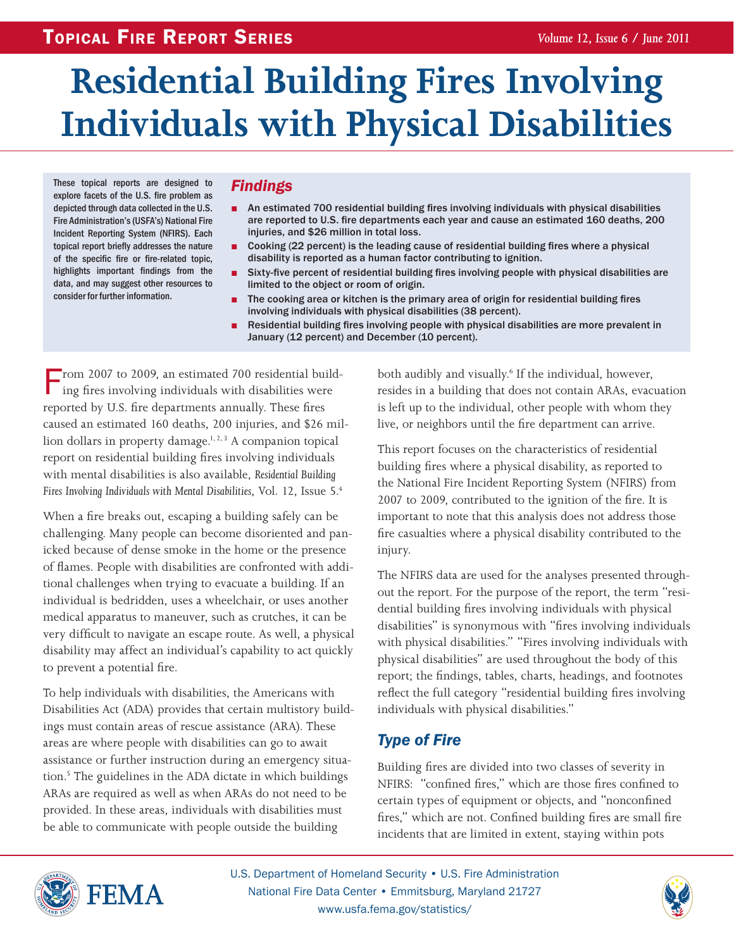# **Residential Building Fires Involving Individuals with Physical Disabilities**

These topical reports are designed to explore facets of the U.S. fire problem as depicted through data collected in the U.S. Fire Administration's (USFA's) National Fire Incident Reporting System (NFIRS). Each topical report briefly addresses the nature of the specific fire or fire-related topic, highlights important findings from the data, and may suggest other resources to consider for further information.

# *Findings*

- An estimated 700 residential building fires involving individuals with physical disabilities are reported to U.S. fire departments each year and cause an estimated 160 deaths, 200 injuries, and \$26 million in total loss.
- Cooking (22 percent) is the leading cause of residential building fires where a physical disability is reported as a human factor contributing to ignition.
- Sixty-five percent of residential building fires involving people with physical disabilities are limited to the object or room of origin.
- The cooking area or kitchen is the primary area of origin for residential building fires involving individuals with physical disabilities (38 percent).
- Residential building fires involving people with physical disabilities are more prevalent in January (12 percent) and December (10 percent).

From 2007 to 2009, an estimated 700 residential building fires involving individuals with disabilities were reported by U.S. fire departments annually. These fires caused an estimated 160 deaths, 200 injuries, and \$26 million dollars in property damage.<sup>1, 2, 3</sup> A companion topical report on residential building fires involving individuals with mental disabilities is also available, *Residential Building Fires Involving Individuals with Mental Disabilities*, Vol. 12, Issue 5.4

When a fire breaks out, escaping a building safely can be challenging. Many people can become disoriented and panicked because of dense smoke in the home or the presence of flames. People with disabilities are confronted with additional challenges when trying to evacuate a building. If an individual is bedridden, uses a wheelchair, or uses another medical apparatus to maneuver, such as crutches, it can be very difficult to navigate an escape route. As well, a physical disability may affect an individual's capability to act quickly to prevent a potential fire.

To help individuals with disabilities, the Americans with Disabilities Act (ADA) provides that certain multistory buildings must contain areas of rescue assistance (ARA). These areas are where people with disabilities can go to await assistance or further instruction during an emergency situation.<sup>5</sup> The guidelines in the ADA dictate in which buildings ARAs are required as well as when ARAs do not need to be provided. In these areas, individuals with disabilities must be able to communicate with people outside the building

both audibly and visually.<sup>6</sup> If the individual, however, resides in a building that does not contain ARAs, evacuation is left up to the individual, other people with whom they live, or neighbors until the fire department can arrive.

This report focuses on the characteristics of residential building fires where a physical disability, as reported to the National Fire Incident Reporting System (NFIRS) from 2007 to 2009, contributed to the ignition of the fire. It is important to note that this analysis does not address those fire casualties where a physical disability contributed to the injury.

The NFIRS data are used for the analyses presented throughout the report. For the purpose of the report, the term "residential building fires involving individuals with physical disabilities" is synonymous with "fires involving individuals with physical disabilities." "Fires involving individuals with physical disabilities" are used throughout the body of this report; the findings, tables, charts, headings, and footnotes reflect the full category "residential building fires involving individuals with physical disabilities."

# *Type of Fire*

Building fires are divided into two classes of severity in NFIRS: "confined fires," which are those fires confined to certain types of equipment or objects, and "nonconfined fires," which are not. Confined building fires are small fire incidents that are limited in extent, staying within pots



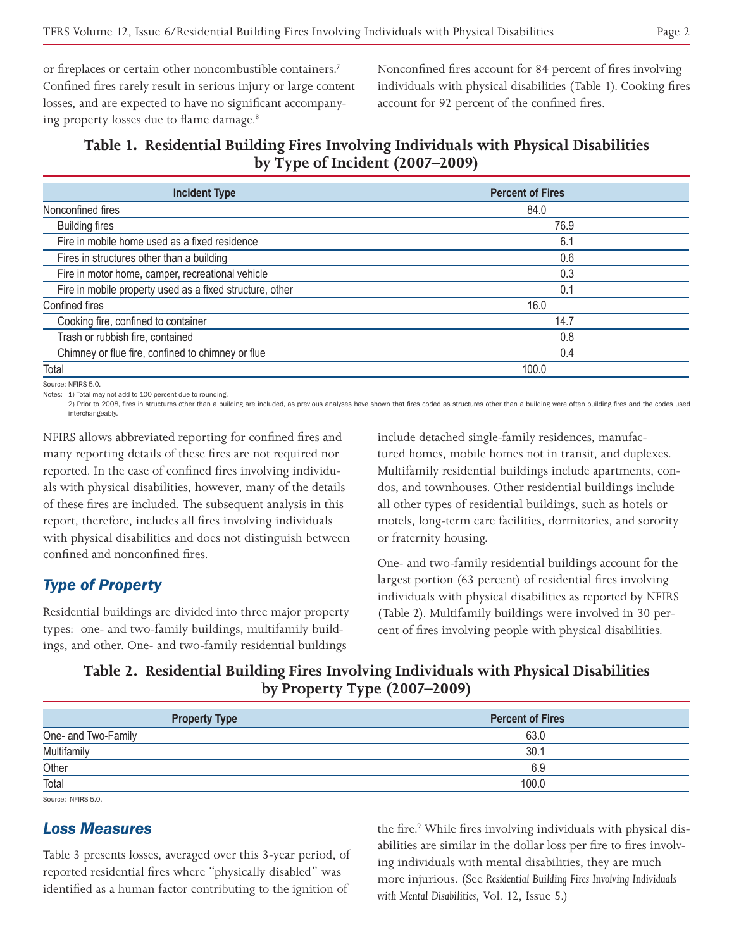or fireplaces or certain other noncombustible containers.<sup>7</sup> Confined fires rarely result in serious injury or large content losses, and are expected to have no significant accompanying property losses due to flame damage.<sup>8</sup>

Nonconfined fires account for 84 percent of fires involving individuals with physical disabilities (Table 1). Cooking fires account for 92 percent of the confined fires.

#### **Table 1. Residential Building Fires Involving Individuals with Physical Disabilities by Type of Incident (2007–2009)**

| <b>Incident Type</b>                                     | <b>Percent of Fires</b> |  |
|----------------------------------------------------------|-------------------------|--|
| Nonconfined fires                                        | 84.0                    |  |
| <b>Building fires</b>                                    | 76.9                    |  |
| Fire in mobile home used as a fixed residence            | 6.7                     |  |
| 0.6<br>Fires in structures other than a building         |                         |  |
| Fire in motor home, camper, recreational vehicle<br>0.3  |                         |  |
| Fire in mobile property used as a fixed structure, other | 0.1                     |  |
| Confined fires<br>16.0                                   |                         |  |
| Cooking fire, confined to container                      | 14.7                    |  |
| Trash or rubbish fire, contained<br>0.8                  |                         |  |
| Chimney or flue fire, confined to chimney or flue<br>0.4 |                         |  |
| Total<br>100.0                                           |                         |  |

Source: NFIRS 5.0.

Notes: 1) Total may not add to 100 percent due to rounding.

2) Prior to 2008, fires in structures other than a building are included, as previous analyses have shown that fires coded as structures other than a building were often building fires and the codes used interchangeably.

NFIRS allows abbreviated reporting for confined fires and many reporting details of these fires are not required nor reported. In the case of confined fires involving individuals with physical disabilities, however, many of the details of these fires are included. The subsequent analysis in this report, therefore, includes all fires involving individuals with physical disabilities and does not distinguish between confined and nonconfined fires.

#### *Type of Property*

Residential buildings are divided into three major property types: one- and two-family buildings, multifamily buildings, and other. One- and two-family residential buildings

include detached single-family residences, manufactured homes, mobile homes not in transit, and duplexes. Multifamily residential buildings include apartments, condos, and townhouses. Other residential buildings include all other types of residential buildings, such as hotels or motels, long-term care facilities, dormitories, and sorority or fraternity housing.

One- and two-family residential buildings account for the largest portion (63 percent) of residential fires involving individuals with physical disabilities as reported by NFIRS (Table 2). Multifamily buildings were involved in 30 percent of fires involving people with physical disabilities.

### **Table 2. Residential Building Fires Involving Individuals with Physical Disabilities by Property Type (2007–2009)**

| <b>Percent of Fires</b> |
|-------------------------|
| 63.0                    |
| 30.1                    |
| 6.9                     |
| 100.0                   |
|                         |

Source: NEIRS 5.0.

#### *Loss Measures*

Table 3 presents losses, averaged over this 3-year period, of reported residential fires where "physically disabled" was identified as a human factor contributing to the ignition of

the fire.<sup>9</sup> While fires involving individuals with physical disabilities are similar in the dollar loss per fire to fires involving individuals with mental disabilities, they are much more injurious. (See *Residential Building Fires Involving Individuals with Mental Disabilities*, Vol. 12, Issue 5.)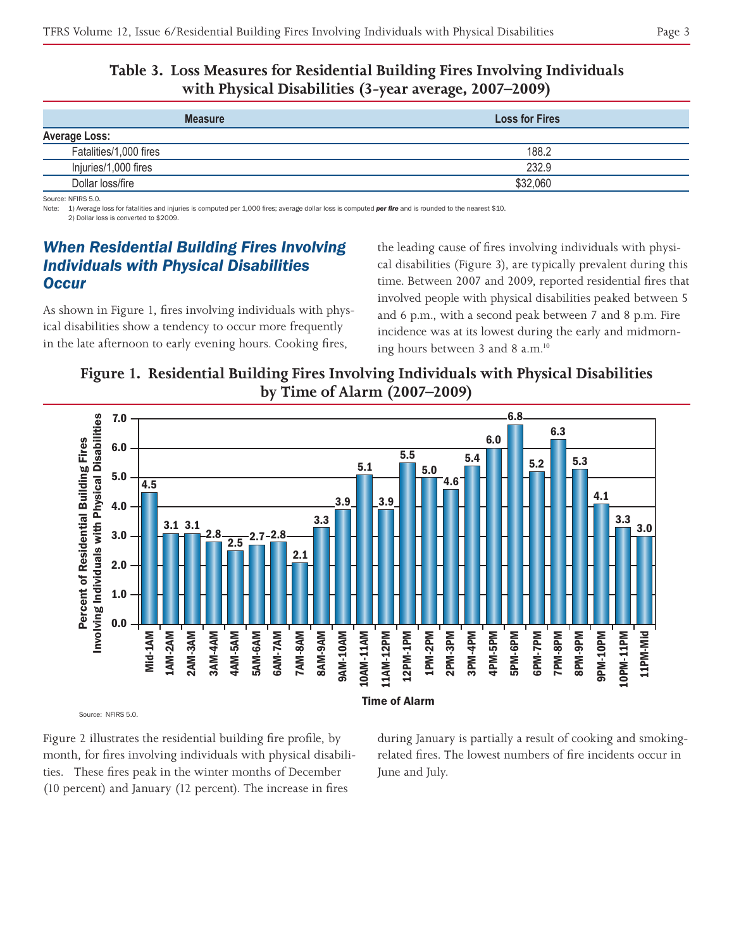#### **Table 3. Loss Measures for Residential Building Fires Involving Individuals with Physical Disabilities (3-year average, 2007–2009)**

| <b>Measure</b>         | <b>Loss for Fires</b> |
|------------------------|-----------------------|
| <b>Average Loss:</b>   |                       |
| Fatalities/1,000 fires | 188.2                 |
| Injuries/1,000 fires   | 232.9                 |
| Dollar loss/fire       | \$32,060              |

Source: NFIRS 5.0.

1) Average loss for fatalities and injuries is computed per 1,000 fires; average dollar loss is computed per fire and is rounded to the nearest \$10. 2) Dollar loss is converted to \$2009.

# *When Residential Building Fires Involving Individuals with Physical Disabilities Occur*

As shown in Figure 1, fires involving individuals with physical disabilities show a tendency to occur more frequently in the late afternoon to early evening hours. Cooking fires,

the leading cause of fires involving individuals with physical disabilities (Figure 3), are typically prevalent during this time. Between 2007 and 2009, reported residential fires that involved people with physical disabilities peaked between 5 and 6 p.m., with a second peak between 7 and 8 p.m. Fire incidence was at its lowest during the early and midmorning hours between 3 and 8 a.m.<sup>10</sup>

**Figure 1. Residential Building Fires Involving Individuals with Physical Disabilities by Time of Alarm (2007–2009)**



Source: NFIRS 5.0.

Figure 2 illustrates the residential building fire profile, by month, for fires involving individuals with physical disabilities. These fires peak in the winter months of December (10 percent) and January (12 percent). The increase in fires

during January is partially a result of cooking and smokingrelated fires. The lowest numbers of fire incidents occur in June and July.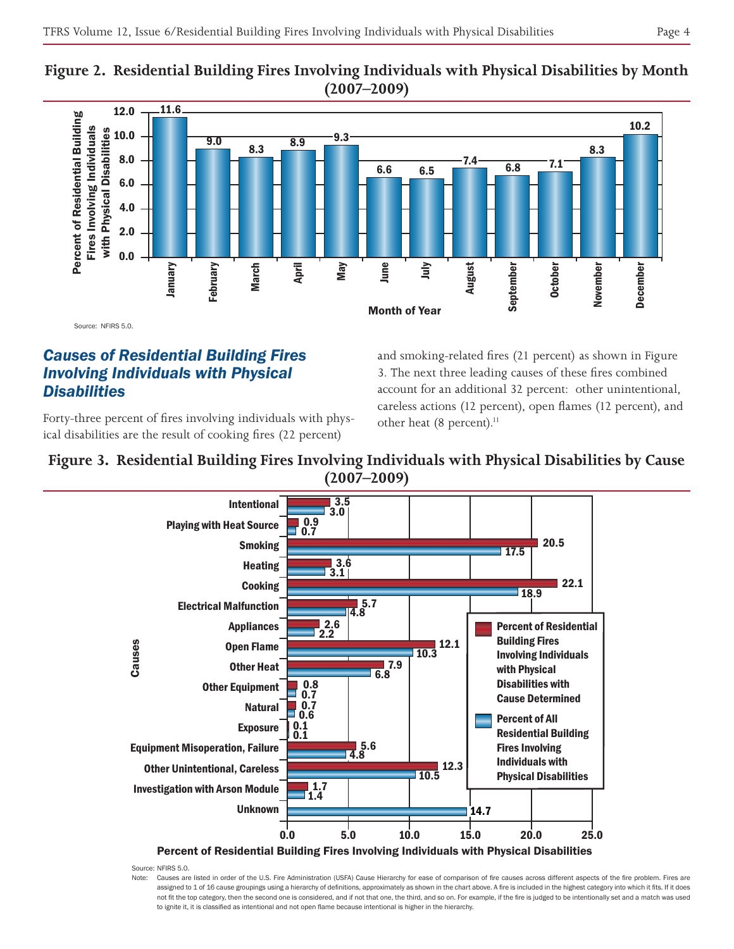



Source: NFIRS 5.0.

# *Causes of Residential Building Fires Involving Individuals with Physical Disabilities*

Forty-three percent of fires involving individuals with physical disabilities are the result of cooking fires (22 percent)

and smoking-related fires (21 percent) as shown in Figure 3. The next three leading causes of these fires combined account for an additional 32 percent: other unintentional, careless actions (12 percent), open flames (12 percent), and other heat (8 percent).<sup>11</sup>

#### **Figure 3. Residential Building Fires Involving Individuals with Physical Disabilities by Cause (2007–2009)**



Source: NFIRS 5.0.

Note: Causes are listed in order of the U.S. Fire Administration (USFA) Cause Hierarchy for ease of comparison of fire causes across different aspects of the fire problem. Fires are assigned to 1 of 16 cause groupings using a hierarchy of definitions, approximately as shown in the chart above. A fire is included in the highest category into which it fits. If it does not fit the top category, then the second one is considered, and if not that one, the third, and so on. For example, if the fire is judged to be intentionally set and a match was used to ignite it, it is classified as intentional and not open flame because intentional is higher in the hierarchy.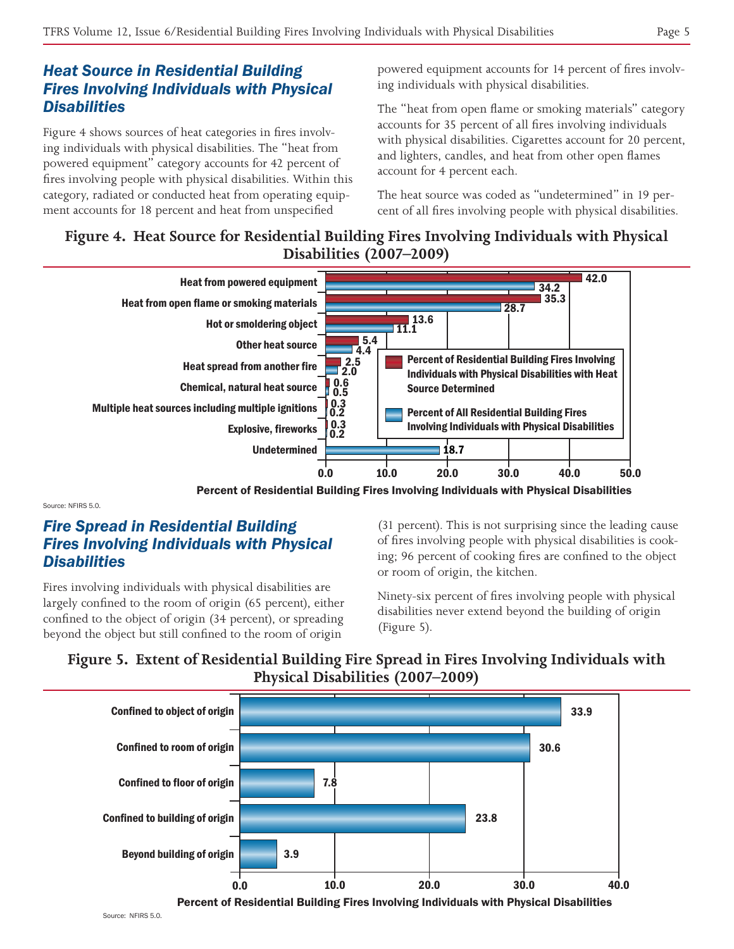# *Heat Source in Residential Building Fires Involving Individuals with Physical Disabilities*

Figure 4 shows sources of heat categories in fires involving individuals with physical disabilities. The "heat from powered equipment" category accounts for 42 percent of fires involving people with physical disabilities. Within this category, radiated or conducted heat from operating equipment accounts for 18 percent and heat from unspecified

powered equipment accounts for 14 percent of fires involving individuals with physical disabilities.

The "heat from open flame or smoking materials" category accounts for 35 percent of all fires involving individuals with physical disabilities. Cigarettes account for 20 percent, and lighters, candles, and heat from other open flames account for 4 percent each.

The heat source was coded as "undetermined" in 19 percent of all fires involving people with physical disabilities.

#### **Figure 4. Heat Source for Residential Building Fires Involving Individuals with Physical Disabilities (2007–2009)**



Percent of Residential Building Fires Involving Individuals with Physical Disabilities

Source: NEIRS 5.0.

# *Fire Spread in Residential Building Fires Involving Individuals with Physical Disabilities*

Fires involving individuals with physical disabilities are largely confined to the room of origin (65 percent), either confined to the object of origin (34 percent), or spreading beyond the object but still confined to the room of origin

(31 percent). This is not surprising since the leading cause of fires involving people with physical disabilities is cooking; 96 percent of cooking fires are confined to the object or room of origin, the kitchen.

Ninety-six percent of fires involving people with physical disabilities never extend beyond the building of origin (Figure 5).

# **Figure 5. Extent of Residential Building Fire Spread in Fires Involving Individuals with Physical Disabilities (2007–2009)**

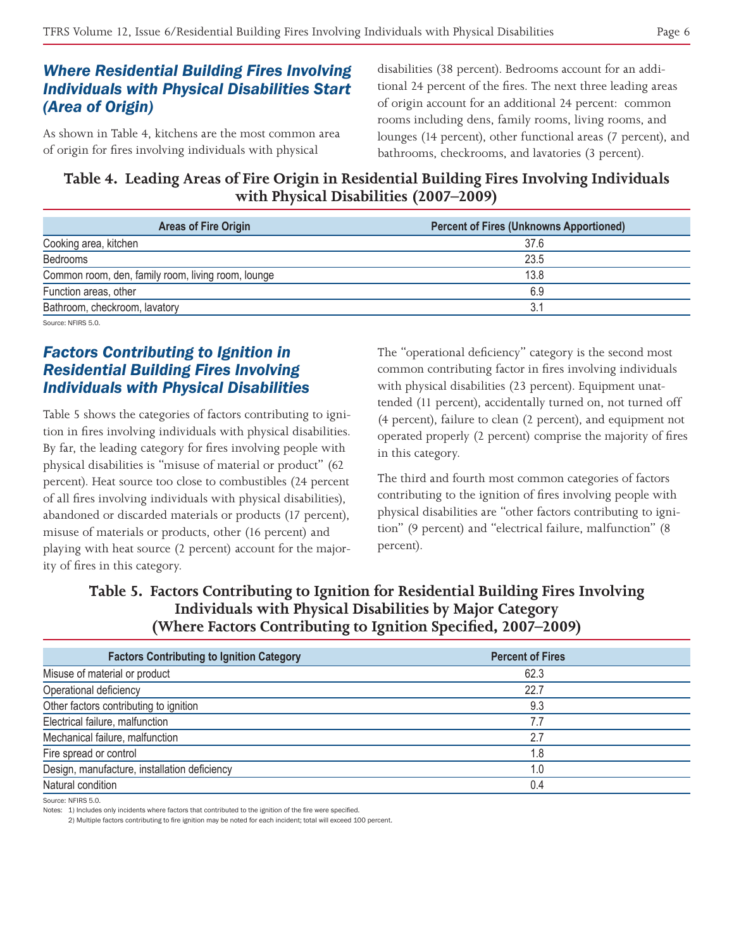### *Where Residential Building Fires Involving Individuals with Physical Disabilities Start (Area of Origin)*

As shown in Table 4, kitchens are the most common area of origin for fires involving individuals with physical

disabilities (38 percent). Bedrooms account for an additional 24 percent of the fires. The next three leading areas of origin account for an additional 24 percent: common rooms including dens, family rooms, living rooms, and lounges (14 percent), other functional areas (7 percent), and bathrooms, checkrooms, and lavatories (3 percent).

**Table 4. Leading Areas of Fire Origin in Residential Building Fires Involving Individuals with Physical Disabilities (2007–2009)**

| <b>Areas of Fire Origin</b>                        | <b>Percent of Fires (Unknowns Apportioned)</b> |
|----------------------------------------------------|------------------------------------------------|
| Cooking area, kitchen                              | 37.6                                           |
| Bedrooms                                           | 23.5                                           |
| Common room, den, family room, living room, lounge | 13.8                                           |
| Function areas, other                              | 6.9                                            |
| Bathroom, checkroom, lavatory                      |                                                |
| $\sim$ $\sim$ $\sim$ $\sim$ $\sim$                 |                                                |

Source: NFIRS 5.0.

#### *Factors Contributing to Ignition in Residential Building Fires Involving Individuals with Physical Disabilities*

Table 5 shows the categories of factors contributing to ignition in fires involving individuals with physical disabilities. By far, the leading category for fires involving people with physical disabilities is "misuse of material or product" (62 percent). Heat source too close to combustibles (24 percent of all fires involving individuals with physical disabilities), abandoned or discarded materials or products (17 percent), misuse of materials or products, other (16 percent) and playing with heat source (2 percent) account for the majority of fires in this category.

The "operational deficiency" category is the second most common contributing factor in fires involving individuals with physical disabilities (23 percent). Equipment unattended (11 percent), accidentally turned on, not turned off (4 percent), failure to clean (2 percent), and equipment not operated properly (2 percent) comprise the majority of fires in this category.

The third and fourth most common categories of factors contributing to the ignition of fires involving people with physical disabilities are "other factors contributing to ignition" (9 percent) and "electrical failure, malfunction" (8 percent).

### **Table 5. Factors Contributing to Ignition for Residential Building Fires Involving Individuals with Physical Disabilities by Major Category (Where Factors Contributing to Ignition Specified, 2007–2009)**

| <b>Factors Contributing to Ignition Category</b> | <b>Percent of Fires</b> |  |
|--------------------------------------------------|-------------------------|--|
| Misuse of material or product                    | 62.3                    |  |
| Operational deficiency                           | 22.7                    |  |
| Other factors contributing to ignition           | 9.3                     |  |
| Electrical failure, malfunction                  | 7.7                     |  |
| Mechanical failure, malfunction                  | 2.7                     |  |
| Fire spread or control                           | 1.8                     |  |
| Design, manufacture, installation deficiency     | 1.0                     |  |
| Natural condition                                | 0.4                     |  |

Source: NFIRS 5.0.

Notes: 1) Includes only incidents where factors that contributed to the ignition of the fire were specified.

2) Multiple factors contributing to fire ignition may be noted for each incident; total will exceed 100 percent.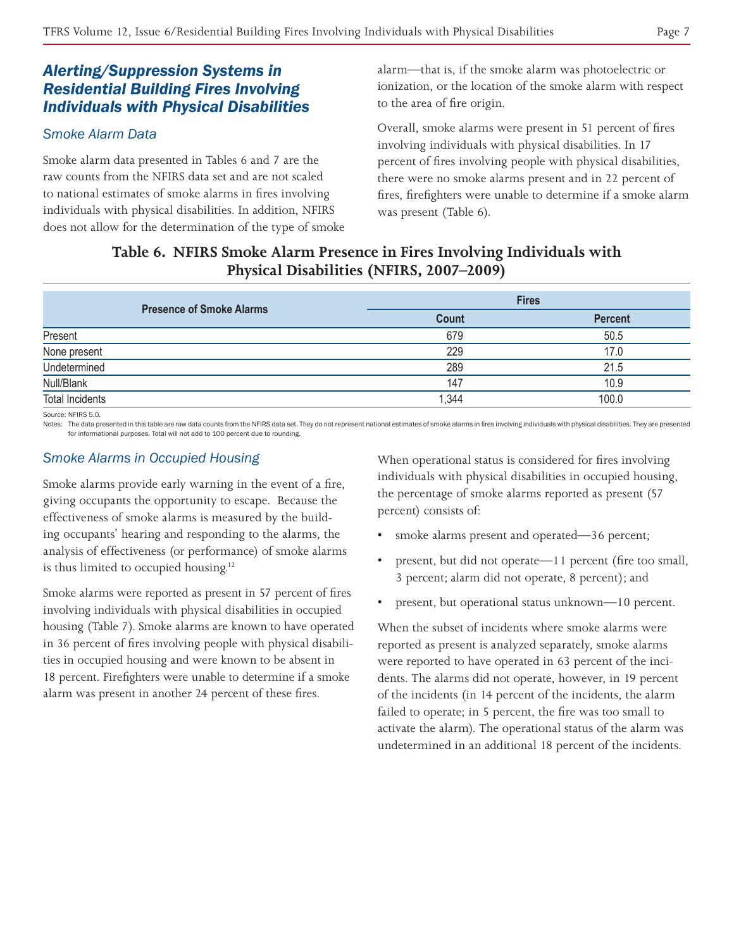### *Alerting/Suppression Systems in Residential Building Fires Involving Individuals with Physical Disabilities*

#### *Smoke Alarm Data*

Smoke alarm data presented in Tables 6 and 7 are the raw counts from the NFIRS data set and are not scaled to national estimates of smoke alarms in fires involving individuals with physical disabilities. In addition, NFIRS does not allow for the determination of the type of smoke alarm—that is, if the smoke alarm was photoelectric or ionization, or the location of the smoke alarm with respect to the area of fire origin.

Overall, smoke alarms were present in 51 percent of fires involving individuals with physical disabilities. In 17 percent of fires involving people with physical disabilities, there were no smoke alarms present and in 22 percent of fires, firefighters were unable to determine if a smoke alarm was present (Table 6).

### **Table 6. NFIRS Smoke Alarm Presence in Fires Involving Individuals with Physical Disabilities (NFIRS, 2007–2009)**

|                                 | <b>Fires</b> |                |
|---------------------------------|--------------|----------------|
| <b>Presence of Smoke Alarms</b> | <b>Count</b> | <b>Percent</b> |
| Present                         | 679          | 50.5           |
| None present                    | 229          | 17.0           |
| Undetermined                    | 289          | 21.5           |
| Null/Blank                      | 147          | 10.9           |
| <b>Total Incidents</b>          | 1,344        | 100.0          |

Source: NFIRS 5.0.

Notes: The data presented in this table are raw data counts from the NFIRS data set. They do not represent national estimates of smoke alarms in fires involving individuals with physical disabilities. They are presented for informational purposes. Total will not add to 100 percent due to rounding.

#### *Smoke Alarms in Occupied Housing*

Smoke alarms provide early warning in the event of a fire, giving occupants the opportunity to escape. Because the effectiveness of smoke alarms is measured by the building occupants' hearing and responding to the alarms, the analysis of effectiveness (or performance) of smoke alarms is thus limited to occupied housing.<sup>12</sup>

Smoke alarms were reported as present in 57 percent of fires involving individuals with physical disabilities in occupied housing (Table 7). Smoke alarms are known to have operated in 36 percent of fires involving people with physical disabilities in occupied housing and were known to be absent in 18 percent. Firefighters were unable to determine if a smoke alarm was present in another 24 percent of these fires.

When operational status is considered for fires involving individuals with physical disabilities in occupied housing, the percentage of smoke alarms reported as present (57 percent) consists of:

- smoke alarms present and operated—36 percent;
- present, but did not operate—11 percent (fire too small, 3 percent; alarm did not operate, 8 percent); and
- present, but operational status unknown—10 percent.

When the subset of incidents where smoke alarms were reported as present is analyzed separately, smoke alarms were reported to have operated in 63 percent of the incidents. The alarms did not operate, however, in 19 percent of the incidents (in 14 percent of the incidents, the alarm failed to operate; in 5 percent, the fire was too small to activate the alarm). The operational status of the alarm was undetermined in an additional 18 percent of the incidents.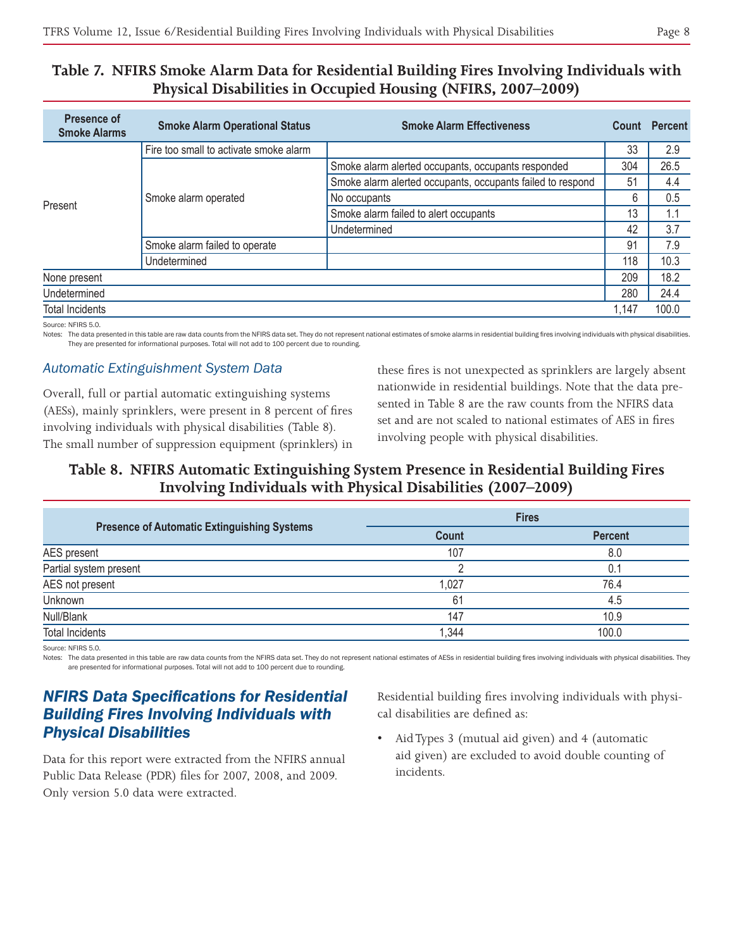#### **Table 7. NFIRS Smoke Alarm Data for Residential Building Fires Involving Individuals with Physical Disabilities in Occupied Housing (NFIRS, 2007–2009)**

| Presence of<br><b>Smoke Alarms</b> | <b>Smoke Alarm Operational Status</b>  | <b>Smoke Alarm Effectiveness</b>                           | Count | <b>Percent</b> |
|------------------------------------|----------------------------------------|------------------------------------------------------------|-------|----------------|
| Present                            | Fire too small to activate smoke alarm |                                                            | 33    | 2.9            |
|                                    | Smoke alarm operated                   | Smoke alarm alerted occupants, occupants responded         | 304   | 26.5           |
|                                    |                                        | Smoke alarm alerted occupants, occupants failed to respond | 51    | 4.4            |
|                                    |                                        | No occupants                                               | 6     | 0.5            |
|                                    |                                        | Smoke alarm failed to alert occupants                      | 13    | 1.1            |
|                                    |                                        | Undetermined                                               | 42    | 3.7            |
|                                    | Smoke alarm failed to operate          |                                                            | 91    | 7.9            |
|                                    | Undetermined                           |                                                            | 118   | 10.3           |
| None present                       |                                        |                                                            | 209   | 18.2           |
| Undetermined                       |                                        |                                                            | 280   | 24.4           |
| <b>Total Incidents</b>             |                                        |                                                            | 1,147 | 100.0          |

Source: NFIRS 5.0.

Notes: The data presented in this table are raw data counts from the NFIRS data set. They do not represent national estimates of smoke alarms in residential building fires involving individuals with physical disabilities. They are presented for informational purposes. Total will not add to 100 percent due to rounding.

#### *Automatic Extinguishment System Data*

Overall, full or partial automatic extinguishing systems (AESs), mainly sprinklers, were present in 8 percent of fires involving individuals with physical disabilities (Table 8). The small number of suppression equipment (sprinklers) in these fires is not unexpected as sprinklers are largely absent nationwide in residential buildings. Note that the data presented in Table 8 are the raw counts from the NFIRS data set and are not scaled to national estimates of AES in fires involving people with physical disabilities.

#### **Table 8. NFIRS Automatic Extinguishing System Presence in Residential Building Fires Involving Individuals with Physical Disabilities (2007–2009)**

| <b>Presence of Automatic Extinguishing Systems</b> | <b>Fires</b> |                |
|----------------------------------------------------|--------------|----------------|
|                                                    | <b>Count</b> | <b>Percent</b> |
| AES present                                        | 107          | 8.0            |
| Partial system present                             |              | 0.1            |
| AES not present                                    | 1,027        | 76.4           |
| Unknown                                            | 61           | 4.5            |
| Null/Blank                                         | 147          | 10.9           |
| <b>Total Incidents</b>                             | 1,344        | 100.0          |

Source: NFIRS 5.0.

Notes: The data presented in this table are raw data counts from the NFIRS data set. They do not represent national estimates of AESs in residential building fires involving individuals with physical disabilities. They are presented for informational purposes. Total will not add to 100 percent due to rounding.

# *NFIRS Data Specifications for Residential Building Fires Involving Individuals with Physical Disabilities*

Data for this report were extracted from the NFIRS annual Public Data Release (PDR) files for 2007, 2008, and 2009. Only version 5.0 data were extracted.

Residential building fires involving individuals with physical disabilities are defined as:

Aid Types 3 (mutual aid given) and 4 (automatic aid given) are excluded to avoid double counting of incidents.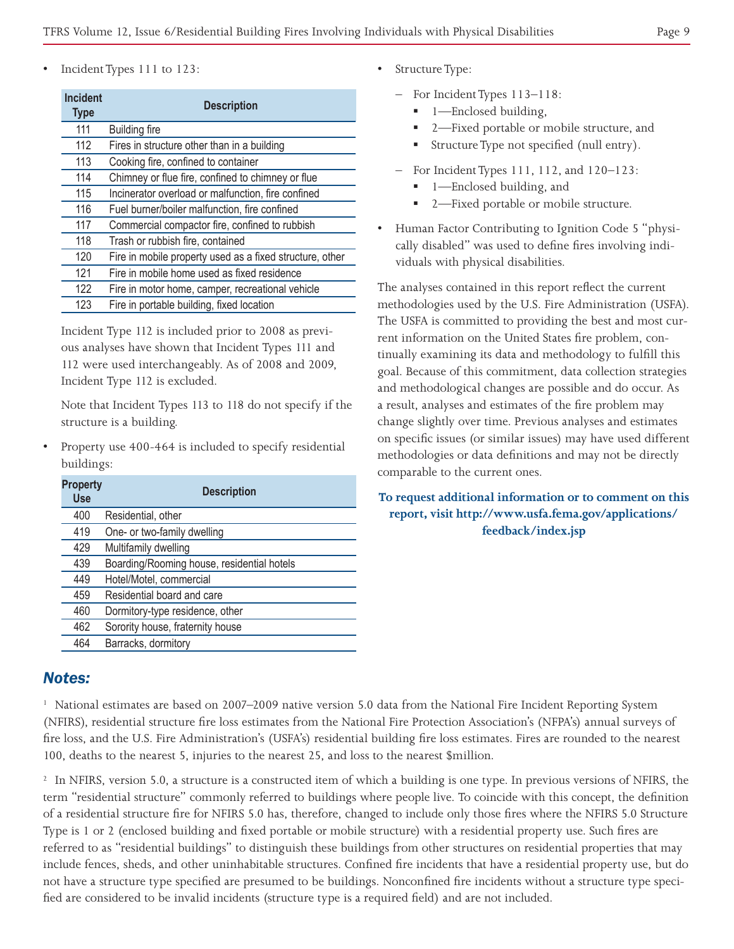Incident Types 111 to 123:

| <b>Incident</b><br><b>Type</b> | <b>Description</b>                                       |
|--------------------------------|----------------------------------------------------------|
| 111                            | <b>Building fire</b>                                     |
| 112                            | Fires in structure other than in a building              |
| 113                            | Cooking fire, confined to container                      |
| 114                            | Chimney or flue fire, confined to chimney or flue        |
| 115                            | Incinerator overload or malfunction, fire confined       |
| 116                            | Fuel burner/boiler malfunction, fire confined            |
| 117                            | Commercial compactor fire, confined to rubbish           |
| 118                            | Trash or rubbish fire, contained                         |
| 120                            | Fire in mobile property used as a fixed structure, other |
| 121                            | Fire in mobile home used as fixed residence              |
| 122                            | Fire in motor home, camper, recreational vehicle         |
| 123                            | Fire in portable building, fixed location                |

Incident Type 112 is included prior to 2008 as previous analyses have shown that Incident Types 111 and 112 were used interchangeably. As of 2008 and 2009, Incident Type 112 is excluded.

Note that Incident Types 113 to 118 do not specify if the structure is a building.

Property use 400-464 is included to specify residential buildings:

| <b>Property</b><br><b>Use</b> | <b>Description</b>                         |
|-------------------------------|--------------------------------------------|
| 400                           | Residential, other                         |
| 419                           | One- or two-family dwelling                |
| 429                           | Multifamily dwelling                       |
| 439                           | Boarding/Rooming house, residential hotels |
| 449                           | Hotel/Motel, commercial                    |
| 459                           | Residential board and care                 |
| 460                           | Dormitory-type residence, other            |
| 462                           | Sorority house, fraternity house           |
| 464                           | Barracks, dormitory                        |

#### *Notes:*

<sup>1</sup> National estimates are based on 2007–2009 native version 5.0 data from the National Fire Incident Reporting System (NFIRS), residential structure fire loss estimates from the National Fire Protection Association's (NFPA's) annual surveys of fire loss, and the U.S. Fire Administration's (USFA's) residential building fire loss estimates. Fires are rounded to the nearest 100, deaths to the nearest 5, injuries to the nearest 25, and loss to the nearest \$million.

<sup>2</sup> In NFIRS, version 5.0, a structure is a constructed item of which a building is one type. In previous versions of NFIRS, the term "residential structure" commonly referred to buildings where people live. To coincide with this concept, the definition of a residential structure fire for NFIRS 5.0 has, therefore, changed to include only those fires where the NFIRS 5.0 Structure Type is 1 or 2 (enclosed building and fixed portable or mobile structure) with a residential property use. Such fires are referred to as "residential buildings" to distinguish these buildings from other structures on residential properties that may include fences, sheds, and other uninhabitable structures. Confined fire incidents that have a residential property use, but do not have a structure type specified are presumed to be buildings. Nonconfined fire incidents without a structure type specified are considered to be invalid incidents (structure type is a required field) and are not included.

- **Structure Type:** 
	- For Incident Types 113–118:
		- 1—Enclosed building,
		- 2—Fixed portable or mobile structure, and
		- Structure Type not specified (null entry).
	- For Incident Types 111, 112, and 120–123:
		- 1—Enclosed building, and
		- 2—Fixed portable or mobile structure.
- Human Factor Contributing to Ignition Code 5 "physically disabled" was used to define fires involving individuals with physical disabilities.

The analyses contained in this report reflect the current methodologies used by the U.S. Fire Administration (USFA). The USFA is committed to providing the best and most current information on the United States fire problem, continually examining its data and methodology to fulfill this goal. Because of this commitment, data collection strategies and methodological changes are possible and do occur. As a result, analyses and estimates of the fire problem may change slightly over time. Previous analyses and estimates on specific issues (or similar issues) may have used different methodologies or data definitions and may not be directly comparable to the current ones.

#### **To request additional information or to comment on this report, visit http://www.usfa.fema.gov/applications/ feedback/index.jsp**